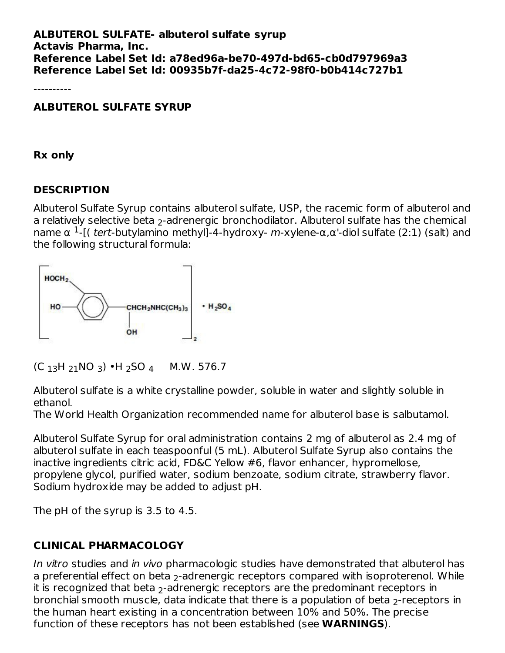#### **ALBUTEROL SULFATE- albuterol sulfate syrup Actavis Pharma, Inc. Reference Label Set Id: a78ed96a-be70-497d-bd65-cb0d797969a3 Reference Label Set Id: 00935b7f-da25-4c72-98f0-b0b414c727b1**

----------

**ALBUTEROL SULFATE SYRUP**

**Rx only**

#### **DESCRIPTION**

Albuterol Sulfate Syrup contains albuterol sulfate, USP, the racemic form of albuterol and a relatively selective beta  $_2$ -adrenergic bronchodilator. Albuterol sulfate has the chemical name α <sup>1</sup>-[( tert-butylamino methyl]-4-hydroxy- m-xylene-α,α'-diol sulfate (2:1) (salt) and the following structural formula:



```
(C_{13}H_{21}NO_3) •H<sub>2</sub>SO<sub>4</sub> M.W. 576.7
```
Albuterol sulfate is a white crystalline powder, soluble in water and slightly soluble in ethanol.

The World Health Organization recommended name for albuterol base is salbutamol.

Albuterol Sulfate Syrup for oral administration contains 2 mg of albuterol as 2.4 mg of albuterol sulfate in each teaspoonful (5 mL). Albuterol Sulfate Syrup also contains the inactive ingredients citric acid, FD&C Yellow #6, flavor enhancer, hypromellose, propylene glycol, purified water, sodium benzoate, sodium citrate, strawberry flavor. Sodium hydroxide may be added to adjust pH.

The pH of the syrup is 3.5 to 4.5.

## **CLINICAL PHARMACOLOGY**

In vitro studies and in vivo pharmacologic studies have demonstrated that albuterol has a preferential effect on beta <sub>2</sub>-adrenergic receptors compared with isoproterenol. While it is recognized that beta  $_2$ -adrenergic receptors are the predominant receptors in bronchial smooth muscle, data indicate that there is a population of beta  $_2$ -receptors in the human heart existing in a concentration between 10% and 50%. The precise function of these receptors has not been established (see **WARNINGS**).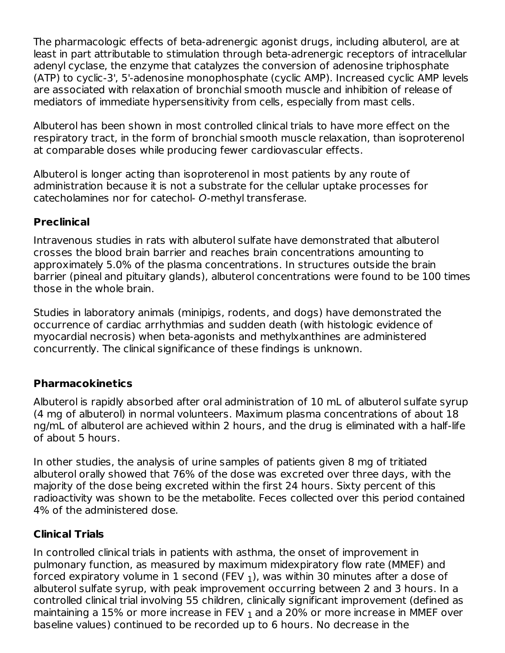The pharmacologic effects of beta-adrenergic agonist drugs, including albuterol, are at least in part attributable to stimulation through beta-adrenergic receptors of intracellular adenyl cyclase, the enzyme that catalyzes the conversion of adenosine triphosphate (ATP) to cyclic-3', 5'-adenosine monophosphate (cyclic AMP). Increased cyclic AMP levels are associated with relaxation of bronchial smooth muscle and inhibition of release of mediators of immediate hypersensitivity from cells, especially from mast cells.

Albuterol has been shown in most controlled clinical trials to have more effect on the respiratory tract, in the form of bronchial smooth muscle relaxation, than isoproterenol at comparable doses while producing fewer cardiovascular effects.

Albuterol is longer acting than isoproterenol in most patients by any route of administration because it is not a substrate for the cellular uptake processes for catecholamines nor for catechol- O-methyl transferase.

## **Preclinical**

Intravenous studies in rats with albuterol sulfate have demonstrated that albuterol crosses the blood brain barrier and reaches brain concentrations amounting to approximately 5.0% of the plasma concentrations. In structures outside the brain barrier (pineal and pituitary glands), albuterol concentrations were found to be 100 times those in the whole brain.

Studies in laboratory animals (minipigs, rodents, and dogs) have demonstrated the occurrence of cardiac arrhythmias and sudden death (with histologic evidence of myocardial necrosis) when beta-agonists and methylxanthines are administered concurrently. The clinical significance of these findings is unknown.

## **Pharmacokinetics**

Albuterol is rapidly absorbed after oral administration of 10 mL of albuterol sulfate syrup (4 mg of albuterol) in normal volunteers. Maximum plasma concentrations of about 18 ng/mL of albuterol are achieved within 2 hours, and the drug is eliminated with a half-life of about 5 hours.

In other studies, the analysis of urine samples of patients given 8 mg of tritiated albuterol orally showed that 76% of the dose was excreted over three days, with the majority of the dose being excreted within the first 24 hours. Sixty percent of this radioactivity was shown to be the metabolite. Feces collected over this period contained 4% of the administered dose.

## **Clinical Trials**

In controlled clinical trials in patients with asthma, the onset of improvement in pulmonary function, as measured by maximum midexpiratory flow rate (MMEF) and forced expiratory volume in 1 second (FEV  $_1$ ), was within 30 minutes after a dose of albuterol sulfate syrup, with peak improvement occurring between 2 and 3 hours. In a controlled clinical trial involving 55 children, clinically significant improvement (defined as maintaining a 15% or more increase in FEV  $_{\rm 1}$  and a 20% or more increase in MMEF over baseline values) continued to be recorded up to 6 hours. No decrease in the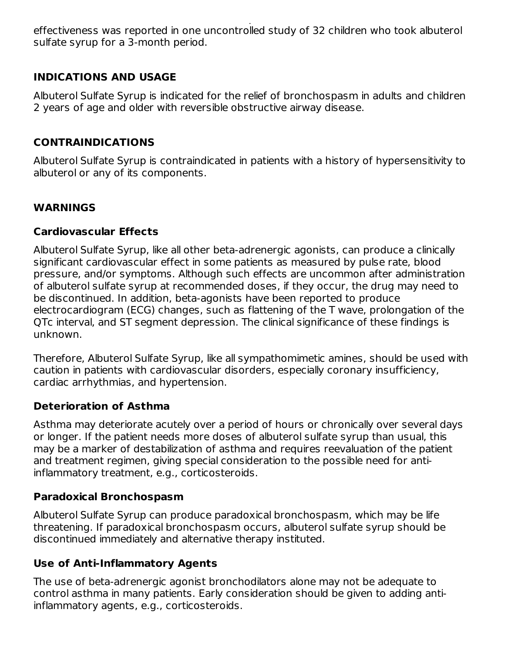baseline values) continued to be recorded up to 6 hours. No decrease in the effectiveness was reported in one uncontrolled study of 32 children who took albuterol sulfate syrup for a 3-month period.

## **INDICATIONS AND USAGE**

Albuterol Sulfate Syrup is indicated for the relief of bronchospasm in adults and children 2 years of age and older with reversible obstructive airway disease.

## **CONTRAINDICATIONS**

Albuterol Sulfate Syrup is contraindicated in patients with a history of hypersensitivity to albuterol or any of its components.

## **WARNINGS**

#### **Cardiovascular Effects**

Albuterol Sulfate Syrup, like all other beta-adrenergic agonists, can produce a clinically significant cardiovascular effect in some patients as measured by pulse rate, blood pressure, and/or symptoms. Although such effects are uncommon after administration of albuterol sulfate syrup at recommended doses, if they occur, the drug may need to be discontinued. In addition, beta-agonists have been reported to produce electrocardiogram (ECG) changes, such as flattening of the T wave, prolongation of the QTc interval, and ST segment depression. The clinical significance of these findings is unknown.

Therefore, Albuterol Sulfate Syrup, like all sympathomimetic amines, should be used with caution in patients with cardiovascular disorders, especially coronary insufficiency, cardiac arrhythmias, and hypertension.

#### **Deterioration of Asthma**

Asthma may deteriorate acutely over a period of hours or chronically over several days or longer. If the patient needs more doses of albuterol sulfate syrup than usual, this may be a marker of destabilization of asthma and requires reevaluation of the patient and treatment regimen, giving special consideration to the possible need for antiinflammatory treatment, e.g., corticosteroids.

#### **Paradoxical Bronchospasm**

Albuterol Sulfate Syrup can produce paradoxical bronchospasm, which may be life threatening. If paradoxical bronchospasm occurs, albuterol sulfate syrup should be discontinued immediately and alternative therapy instituted.

#### **Use of Anti-Inflammatory Agents**

The use of beta-adrenergic agonist bronchodilators alone may not be adequate to control asthma in many patients. Early consideration should be given to adding antiinflammatory agents, e.g., corticosteroids.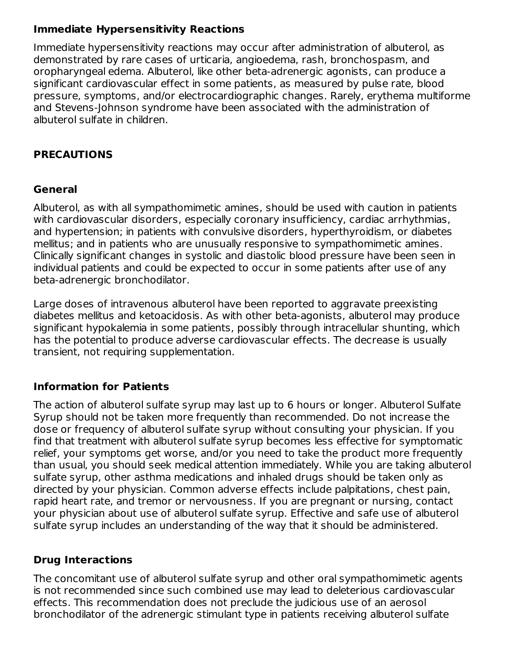## **Immediate Hypersensitivity Reactions**

Immediate hypersensitivity reactions may occur after administration of albuterol, as demonstrated by rare cases of urticaria, angioedema, rash, bronchospasm, and oropharyngeal edema. Albuterol, like other beta-adrenergic agonists, can produce a significant cardiovascular effect in some patients, as measured by pulse rate, blood pressure, symptoms, and/or electrocardiographic changes. Rarely, erythema multiforme and Stevens-Johnson syndrome have been associated with the administration of albuterol sulfate in children.

## **PRECAUTIONS**

## **General**

Albuterol, as with all sympathomimetic amines, should be used with caution in patients with cardiovascular disorders, especially coronary insufficiency, cardiac arrhythmias, and hypertension; in patients with convulsive disorders, hyperthyroidism, or diabetes mellitus; and in patients who are unusually responsive to sympathomimetic amines. Clinically significant changes in systolic and diastolic blood pressure have been seen in individual patients and could be expected to occur in some patients after use of any beta-adrenergic bronchodilator.

Large doses of intravenous albuterol have been reported to aggravate preexisting diabetes mellitus and ketoacidosis. As with other beta-agonists, albuterol may produce significant hypokalemia in some patients, possibly through intracellular shunting, which has the potential to produce adverse cardiovascular effects. The decrease is usually transient, not requiring supplementation.

## **Information for Patients**

The action of albuterol sulfate syrup may last up to 6 hours or longer. Albuterol Sulfate Syrup should not be taken more frequently than recommended. Do not increase the dose or frequency of albuterol sulfate syrup without consulting your physician. If you find that treatment with albuterol sulfate syrup becomes less effective for symptomatic relief, your symptoms get worse, and/or you need to take the product more frequently than usual, you should seek medical attention immediately. While you are taking albuterol sulfate syrup, other asthma medications and inhaled drugs should be taken only as directed by your physician. Common adverse effects include palpitations, chest pain, rapid heart rate, and tremor or nervousness. If you are pregnant or nursing, contact your physician about use of albuterol sulfate syrup. Effective and safe use of albuterol sulfate syrup includes an understanding of the way that it should be administered.

## **Drug Interactions**

The concomitant use of albuterol sulfate syrup and other oral sympathomimetic agents is not recommended since such combined use may lead to deleterious cardiovascular effects. This recommendation does not preclude the judicious use of an aerosol bronchodilator of the adrenergic stimulant type in patients receiving albuterol sulfate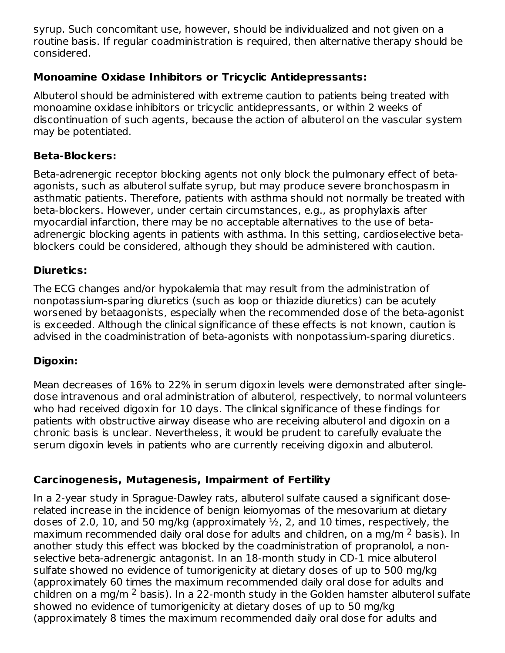syrup. Such concomitant use, however, should be individualized and not given on a routine basis. If regular coadministration is required, then alternative therapy should be considered.

## **Monoamine Oxidase Inhibitors or Tricyclic Antidepressants:**

Albuterol should be administered with extreme caution to patients being treated with monoamine oxidase inhibitors or tricyclic antidepressants, or within 2 weeks of discontinuation of such agents, because the action of albuterol on the vascular system may be potentiated.

## **Beta-Blockers:**

Beta-adrenergic receptor blocking agents not only block the pulmonary effect of betaagonists, such as albuterol sulfate syrup, but may produce severe bronchospasm in asthmatic patients. Therefore, patients with asthma should not normally be treated with beta-blockers. However, under certain circumstances, e.g., as prophylaxis after myocardial infarction, there may be no acceptable alternatives to the use of betaadrenergic blocking agents in patients with asthma. In this setting, cardioselective betablockers could be considered, although they should be administered with caution.

## **Diuretics:**

The ECG changes and/or hypokalemia that may result from the administration of nonpotassium-sparing diuretics (such as loop or thiazide diuretics) can be acutely worsened by betaagonists, especially when the recommended dose of the beta-agonist is exceeded. Although the clinical significance of these effects is not known, caution is advised in the coadministration of beta-agonists with nonpotassium-sparing diuretics.

## **Digoxin:**

Mean decreases of 16% to 22% in serum digoxin levels were demonstrated after singledose intravenous and oral administration of albuterol, respectively, to normal volunteers who had received digoxin for 10 days. The clinical significance of these findings for patients with obstructive airway disease who are receiving albuterol and digoxin on a chronic basis is unclear. Nevertheless, it would be prudent to carefully evaluate the serum digoxin levels in patients who are currently receiving digoxin and albuterol.

## **Carcinogenesis, Mutagenesis, Impairment of Fertility**

In a 2-year study in Sprague-Dawley rats, albuterol sulfate caused a significant doserelated increase in the incidence of benign leiomyomas of the mesovarium at dietary doses of 2.0, 10, and 50 mg/kg (approximately  $\frac{1}{2}$ , 2, and 10 times, respectively, the maximum recommended daily oral dose for adults and children, on a mg/m <sup>2</sup> basis). In another study this effect was blocked by the coadministration of propranolol, a nonselective beta-adrenergic antagonist. In an 18-month study in CD-1 mice albuterol sulfate showed no evidence of tumorigenicity at dietary doses of up to 500 mg/kg (approximately 60 times the maximum recommended daily oral dose for adults and children on a mg/m  $^2$  basis). In a 22-month study in the Golden hamster albuterol sulfate showed no evidence of tumorigenicity at dietary doses of up to 50 mg/kg (approximately 8 times the maximum recommended daily oral dose for adults and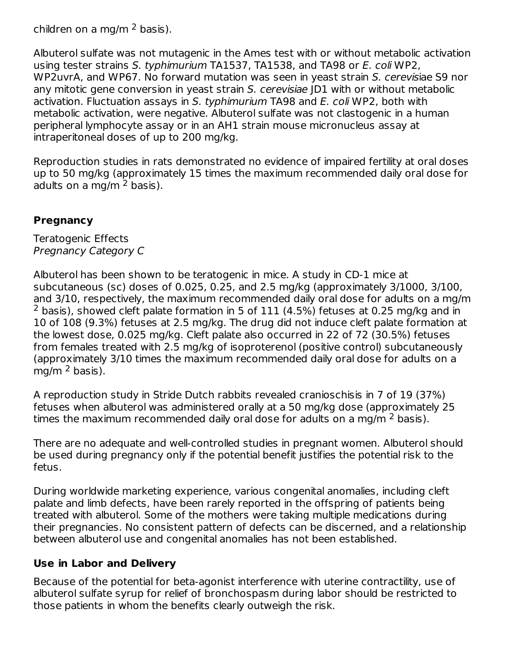children on a mg/m  $^2$  basis).

Albuterol sulfate was not mutagenic in the Ames test with or without metabolic activation using tester strains S. typhimurium TA1537, TA1538, and TA98 or E. coli WP2, WP2uvrA, and WP67. No forward mutation was seen in yeast strain S. cerevisiae S9 nor any mitotic gene conversion in yeast strain S. cerevisiae JD1 with or without metabolic activation. Fluctuation assays in S. typhimurium TA98 and E. coli WP2, both with metabolic activation, were negative. Albuterol sulfate was not clastogenic in a human peripheral lymphocyte assay or in an AH1 strain mouse micronucleus assay at intraperitoneal doses of up to 200 mg/kg.

Reproduction studies in rats demonstrated no evidence of impaired fertility at oral doses up to 50 mg/kg (approximately 15 times the maximum recommended daily oral dose for adults on a mg/m <sup>2</sup> basis).

## **Pregnancy**

Teratogenic Effects Pregnancy Category C

Albuterol has been shown to be teratogenic in mice. A study in CD-1 mice at subcutaneous (sc) doses of 0.025, 0.25, and 2.5 mg/kg (approximately 3/1000, 3/100, and 3/10, respectively, the maximum recommended daily oral dose for adults on a mg/m  $2$  basis), showed cleft palate formation in 5 of 111 (4.5%) fetuses at 0.25 mg/kg and in 10 of 108 (9.3%) fetuses at 2.5 mg/kg. The drug did not induce cleft palate formation at the lowest dose, 0.025 mg/kg. Cleft palate also occurred in 22 of 72 (30.5%) fetuses from females treated with 2.5 mg/kg of isoproterenol (positive control) subcutaneously (approximately 3/10 times the maximum recommended daily oral dose for adults on a mg/m <sup>2</sup> basis).

A reproduction study in Stride Dutch rabbits revealed cranioschisis in 7 of 19 (37%) fetuses when albuterol was administered orally at a 50 mg/kg dose (approximately 25 times the maximum recommended daily oral dose for adults on a mg/m  $^2$  basis).

There are no adequate and well-controlled studies in pregnant women. Albuterol should be used during pregnancy only if the potential benefit justifies the potential risk to the fetus.

During worldwide marketing experience, various congenital anomalies, including cleft palate and limb defects, have been rarely reported in the offspring of patients being treated with albuterol. Some of the mothers were taking multiple medications during their pregnancies. No consistent pattern of defects can be discerned, and a relationship between albuterol use and congenital anomalies has not been established.

#### **Use in Labor and Delivery**

Because of the potential for beta-agonist interference with uterine contractility, use of albuterol sulfate syrup for relief of bronchospasm during labor should be restricted to those patients in whom the benefits clearly outweigh the risk.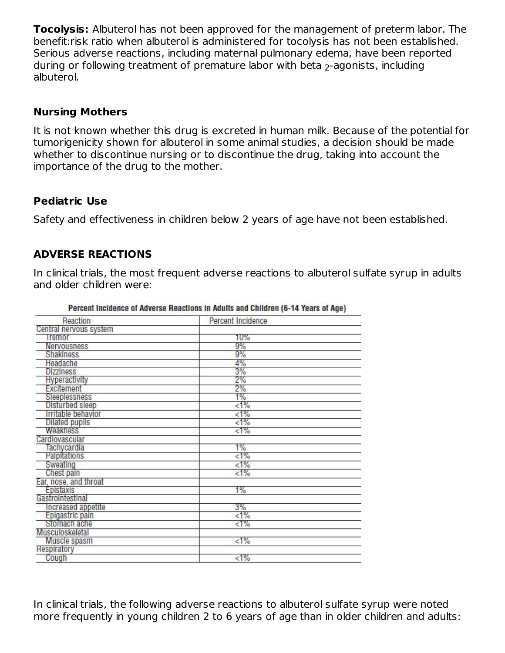**Tocolysis:** Albuterol has not been approved for the management of preterm labor. The benefit:risk ratio when albuterol is administered for tocolysis has not been established. Serious adverse reactions, including maternal pulmonary edema, have been reported during or following treatment of premature labor with beta  $_2$ -agonists, including albuterol.

#### **Nursing Mothers**

It is not known whether this drug is excreted in human milk. Because of the potential for tumorigenicity shown for albuterol in some animal studies, a decision should be made whether to discontinue nursing or to discontinue the drug, taking into account the importance of the drug to the mother.

#### **Pediatric Use**

Safety and effectiveness in children below 2 years of age have not been established.

#### **ADVERSE REACTIONS**

In clinical trials, the most frequent adverse reactions to albuterol sulfate syrup in adults and older children were:

| Reaction               | Percent Incidence |  |
|------------------------|-------------------|--|
| Central nervous system |                   |  |
| <b>Iremor</b>          | 10%               |  |
| Nervousness            | 9%                |  |
| Shakiness              | 9%                |  |
| Headache               | 4%                |  |
| <b>Dizziness</b>       | 3%                |  |
| Hyperactivity          | 2%                |  |
| Excitement             | 2%                |  |
| Sleeplessness          | 1%                |  |
| Disturbed sleep        | $< 1\%$           |  |
| Irritable behavior     | $< 1\%$           |  |
| <b>Dilated pupils</b>  | $< 1\%$           |  |
| <b>Weakness</b>        | $< 1\%$           |  |
| Cardiovascular         |                   |  |
| Tachycardia            | 1%                |  |
| Palpitations           | $< 1\%$           |  |
| Sweating               | $< 1\%$           |  |
| Chest pain             | $< 1\%$           |  |
| Ear, nose, and throat  |                   |  |
| Epistaxis              | 1%                |  |
| Gastrointestinal       |                   |  |
| Increased appetite     | 3%                |  |
| Epigastric pain        | $< 1\%$           |  |
| Stomach ache           | $< 1\%$           |  |
| Musculoskeletal        |                   |  |
| Muscle spasm           | $< 1\%$           |  |
| Respiratory            |                   |  |
| Cough                  | $< 1\%$           |  |

Percent Incidence of Adverse Reactions in Adults and Children (6-14 Years of Age)

In clinical trials, the following adverse reactions to albuterol sulfate syrup were noted more frequently in young children 2 to 6 years of age than in older children and adults: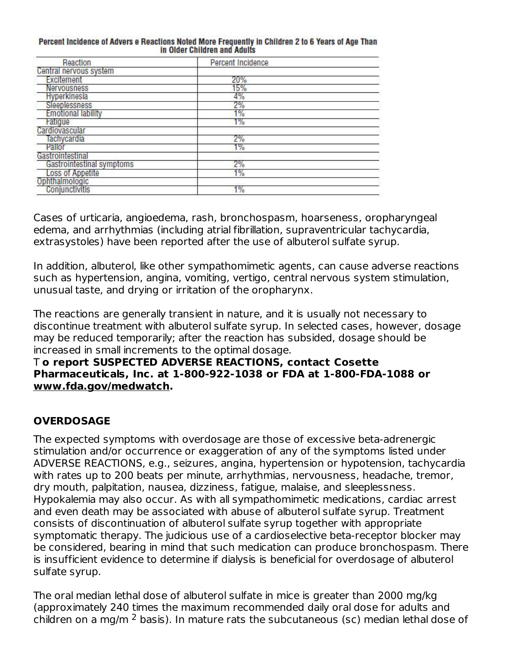| Percent Incidence of Advers e Reactions Noted More Frequently in Children 2 to 6 Years of Age Than |                              |  |  |  |
|----------------------------------------------------------------------------------------------------|------------------------------|--|--|--|
|                                                                                                    | in Older Children and Adults |  |  |  |

| Reaction                  | Percent Incidence |  |
|---------------------------|-------------------|--|
| Central nervous system    |                   |  |
| Excitement                | 20%               |  |
| Nervousness               | 15%               |  |
| Hyperkinesia              | 4%                |  |
| Sleeplessness             | 2%                |  |
| <b>Emotional lability</b> | 1%                |  |
| <b>Fatigue</b>            | $1\%$             |  |
| Cardiovascular            |                   |  |
| Tachycardia               | 2%                |  |
| Pallor                    | $1\%$             |  |
| Gastrointestinal          |                   |  |
| Gastrointestinal symptoms | 2%                |  |
| Loss of Appetite          | 1%                |  |
| Ophthalmologic            |                   |  |
| Conjunctivitis            | 1%                |  |

Cases of urticaria, angioedema, rash, bronchospasm, hoarseness, oropharyngeal edema, and arrhythmias (including atrial fibrillation, supraventricular tachycardia, extrasystoles) have been reported after the use of albuterol sulfate syrup.

In addition, albuterol, like other sympathomimetic agents, can cause adverse reactions such as hypertension, angina, vomiting, vertigo, central nervous system stimulation, unusual taste, and drying or irritation of the oropharynx.

The reactions are generally transient in nature, and it is usually not necessary to discontinue treatment with albuterol sulfate syrup. In selected cases, however, dosage may be reduced temporarily; after the reaction has subsided, dosage should be increased in small increments to the optimal dosage.

#### T **o report SUSPECTED ADVERSE REACTIONS, contact Cosette Pharmaceuticals, Inc. at 1-800-922-1038 or FDA at 1-800-FDA-1088 or www.fda.gov/medwatch.**

## **OVERDOSAGE**

The expected symptoms with overdosage are those of excessive beta-adrenergic stimulation and/or occurrence or exaggeration of any of the symptoms listed under ADVERSE REACTIONS, e.g., seizures, angina, hypertension or hypotension, tachycardia with rates up to 200 beats per minute, arrhythmias, nervousness, headache, tremor, dry mouth, palpitation, nausea, dizziness, fatigue, malaise, and sleeplessness. Hypokalemia may also occur. As with all sympathomimetic medications, cardiac arrest and even death may be associated with abuse of albuterol sulfate syrup. Treatment consists of discontinuation of albuterol sulfate syrup together with appropriate symptomatic therapy. The judicious use of a cardioselective beta-receptor blocker may be considered, bearing in mind that such medication can produce bronchospasm. There is insufficient evidence to determine if dialysis is beneficial for overdosage of albuterol sulfate syrup.

The oral median lethal dose of albuterol sulfate in mice is greater than 2000 mg/kg (approximately 240 times the maximum recommended daily oral dose for adults and children on a mg/m  $^2$  basis). In mature rats the subcutaneous (sc) median lethal dose of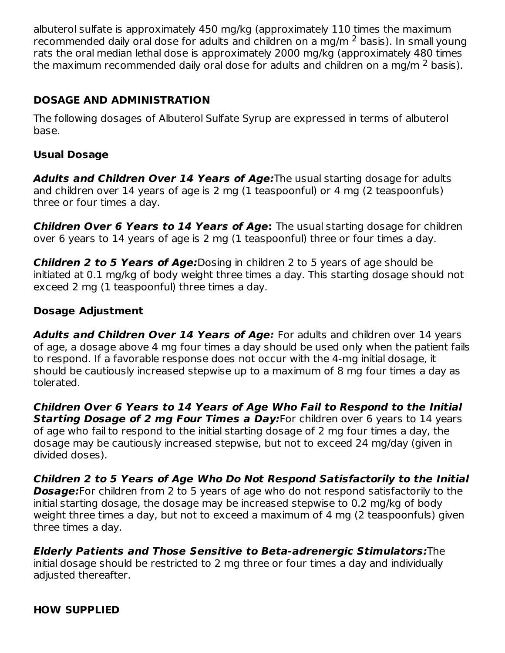albuterol sulfate is approximately 450 mg/kg (approximately 110 times the maximum recommended daily oral dose for adults and children on a mg/m  $^2$  basis). In small young rats the oral median lethal dose is approximately 2000 mg/kg (approximately 480 times the maximum recommended daily oral dose for adults and children on a mg/m  $^2$  basis).

## **DOSAGE AND ADMINISTRATION**

The following dosages of Albuterol Sulfate Syrup are expressed in terms of albuterol base.

## **Usual Dosage**

**Adults and Children Over 14 Years of Age:**The usual starting dosage for adults and children over 14 years of age is 2 mg (1 teaspoonful) or 4 mg (2 teaspoonfuls) three or four times a day.

**Children Over 6 Years to 14 Years of Age:** The usual starting dosage for children over 6 years to 14 years of age is 2 mg (1 teaspoonful) three or four times a day.

**Children 2 to 5 Years of Age:**Dosing in children 2 to 5 years of age should be initiated at 0.1 mg/kg of body weight three times a day. This starting dosage should not exceed 2 mg (1 teaspoonful) three times a day.

## **Dosage Adjustment**

**Adults and Children Over 14 Years of Age:** For adults and children over 14 years of age, a dosage above 4 mg four times a day should be used only when the patient fails to respond. If a favorable response does not occur with the 4-mg initial dosage, it should be cautiously increased stepwise up to a maximum of 8 mg four times a day as tolerated.

**Children Over 6 Years to 14 Years of Age Who Fail to Respond to the Initial Starting Dosage of 2 mg Four Times a Day:**For children over 6 years to 14 years of age who fail to respond to the initial starting dosage of 2 mg four times a day, the dosage may be cautiously increased stepwise, but not to exceed 24 mg/day (given in divided doses).

**Children 2 to 5 Years of Age Who Do Not Respond Satisfactorily to the Initial Dosage:**For children from 2 to 5 years of age who do not respond satisfactorily to the initial starting dosage, the dosage may be increased stepwise to 0.2 mg/kg of body weight three times a day, but not to exceed a maximum of 4 mg (2 teaspoonfuls) given three times a day.

**Elderly Patients and Those Sensitive to Beta-adrenergic Stimulators:**The initial dosage should be restricted to 2 mg three or four times a day and individually adjusted thereafter.

#### **HOW SUPPLIED**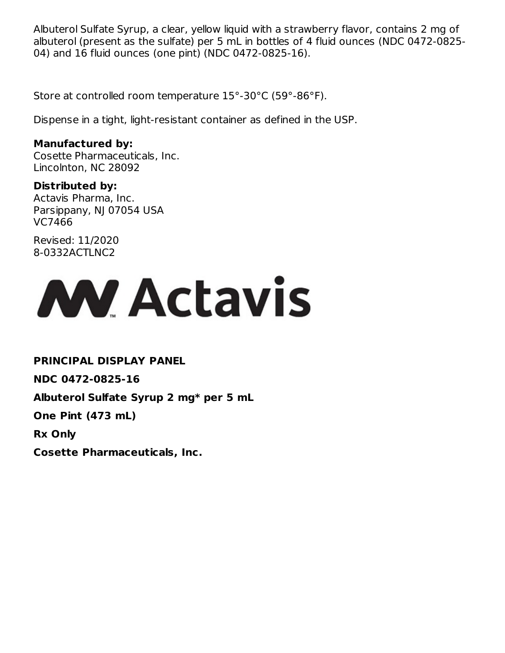Albuterol Sulfate Syrup, a clear, yellow liquid with a strawberry flavor, contains 2 mg of albuterol (present as the sulfate) per 5 mL in bottles of 4 fluid ounces (NDC 0472-0825- 04) and 16 fluid ounces (one pint) (NDC 0472-0825-16).

Store at controlled room temperature 15°-30°C (59°-86°F).

Dispense in a tight, light-resistant container as defined in the USP.

#### **Manufactured by:**

Cosette Pharmaceuticals, Inc. Lincolnton, NC 28092

## **Distributed by:**

Actavis Pharma, Inc. Parsippany, NJ 07054 USA VC7466

Revised: 11/2020 8-0332ACTLNC2



**PRINCIPAL DISPLAY PANEL NDC 0472-0825-16 Albuterol Sulfate Syrup 2 mg\* per 5 mL One Pint (473 mL)**

**Rx Only**

**Cosette Pharmaceuticals, Inc.**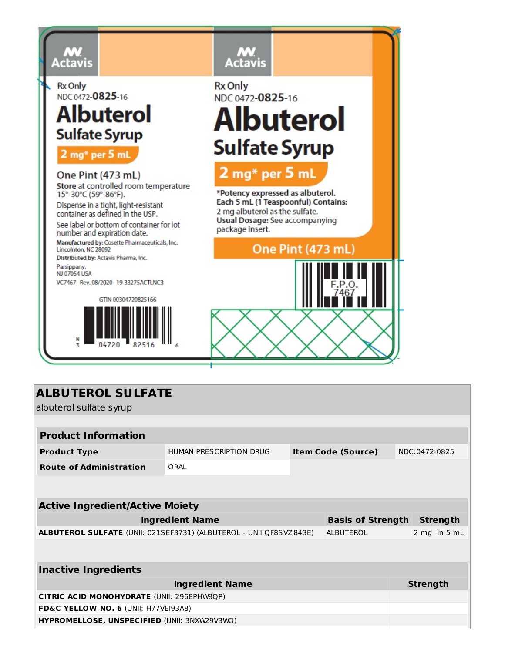

**Rx Only** NDC 0472-0825-16

# Albuterol **Sulfate Syrup**

2 mg\* per 5 mL

One Pint (473 mL) Store at controlled room temperature 15°-30°C (59°-86°F). Dispense in a tight, light-resistant container as defined in the USP. See label or bottom of container for lot number and expiration date. Manufactured by: Cosette Pharmaceuticals, Inc. Lincolnton, NC 28092 Distributed by: Actavis Pharma, Inc. Parsippany,<br>NJ 07054 USA VC7467 Rev. 08/2020 19-33275ACTLNC3





# **ALBUTEROL SULFATE**

albuterol sulfate syrup

| <b>Product Information</b>                                         |                                                                       |  |                           |  |                 |
|--------------------------------------------------------------------|-----------------------------------------------------------------------|--|---------------------------|--|-----------------|
| <b>Product Type</b>                                                | HUMAN PRESCRIPTION DRUG                                               |  | <b>Item Code (Source)</b> |  | NDC:0472-0825   |
| <b>Route of Administration</b>                                     | ORAL                                                                  |  |                           |  |                 |
|                                                                    |                                                                       |  |                           |  |                 |
|                                                                    |                                                                       |  |                           |  |                 |
| <b>Active Ingredient/Active Moiety</b>                             |                                                                       |  |                           |  |                 |
|                                                                    | <b>Ingredient Name</b><br><b>Basis of Strength</b><br><b>Strength</b> |  |                           |  |                 |
| ALBUTEROL SULFATE (UNII: 021SEF3731) (ALBUTEROL - UNII:QF8SVZ843E) |                                                                       |  | <b>ALBUTEROL</b>          |  | 2 mg in 5 mL    |
|                                                                    |                                                                       |  |                           |  |                 |
|                                                                    |                                                                       |  |                           |  |                 |
| <b>Inactive Ingredients</b>                                        |                                                                       |  |                           |  |                 |
|                                                                    | <b>Ingredient Name</b>                                                |  |                           |  | <b>Strength</b> |
| <b>CITRIC ACID MONOHYDRATE (UNII: 2968PHW8QP)</b>                  |                                                                       |  |                           |  |                 |
| FD&C YELLOW NO. 6 (UNII: H77VEI93A8)                               |                                                                       |  |                           |  |                 |
| HYPROMELLOSE, UNSPECIFIED (UNII: 3NXW29V3WO)                       |                                                                       |  |                           |  |                 |
|                                                                    |                                                                       |  |                           |  |                 |